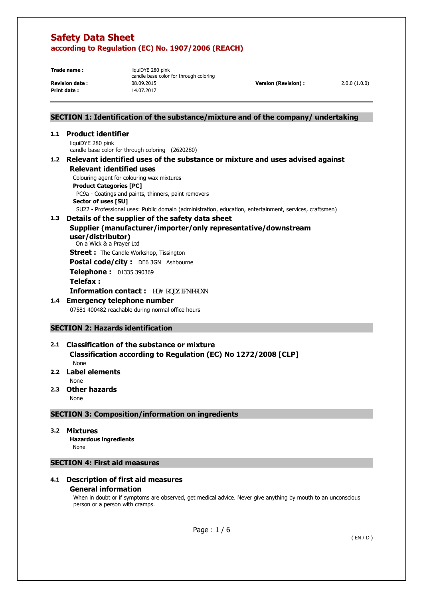**Print date :** 14.07.2017

**Trade name: liquiDYE 280 pink** candle base color for through coloring **Revision date :** 08.09.2015 **Version (Revision) :** 2.0.0 (1.0.0)

# **SECTION 1: Identification of the substance/mixture and of the company/ undertaking**

#### **1.1 Product identifier**

liquiDYE 280 pink candle base color for through coloring (2620280)

#### **1.2 Relevant identified uses of the substance or mixture and uses advised against Relevant identified uses**

Colouring agent for colouring wax mixtures

**Product Categories [PC]** 

 PC9a - Coatings and paints, thinners, paint removers **Sector of uses [SU]** 

SU22 - Professional uses: Public domain (administration, education, entertainment, services, craftsmen)

# **1.3 Details of the supplier of the safety data sheet**

## **Supplier (manufacturer/importer/only representative/downstream user/distributor)**

On a Wick & a Prayer Ltd

**Street :** The Candle Workshop, Tissington

Postal code/city : DE6 3GN Ashbourne

**Telephone :** 01335 390369

#### **Telefax :**

**Information contact :**  $gfB$  apcy lenleq0wn

# **1.4 Emergency telephone number**

07581 400482 reachable during normal office hours

# **SECTION 2: Hazards identification**

# **2.1 Classification of the substance or mixture Classification according to Regulation (EC) No 1272/2008 [CLP]**  None

# **2.2 Label elements**

None

**2.3 Other hazards** 

None

# **SECTION 3: Composition/information on ingredients**

#### **3.2 Mixtures**

 **Hazardous ingredients** None

# **SECTION 4: First aid measures**

# **4.1 Description of first aid measures**

#### **General information**

When in doubt or if symptoms are observed, get medical advice. Never give anything by mouth to an unconscious person or a person with cramps.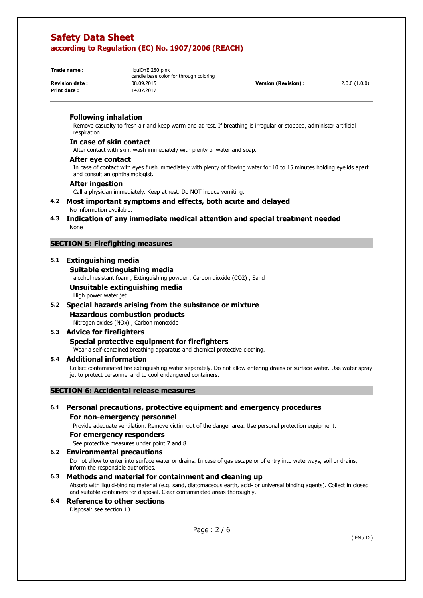**Print date :** 14.07.2017

**Trade name: liquiDYE 280 pink** candle base color for through coloring **Revision date :** 08.09.2015 **Version (Revision) :** 2.0.0 (1.0.0)

#### **Following inhalation**

Remove casualty to fresh air and keep warm and at rest. If breathing is irregular or stopped, administer artificial respiration.

#### **In case of skin contact**

After contact with skin, wash immediately with plenty of water and soap.

#### **After eye contact**

In case of contact with eyes flush immediately with plenty of flowing water for 10 to 15 minutes holding eyelids apart and consult an ophthalmologist.

#### **After ingestion**

Call a physician immediately. Keep at rest. Do NOT induce vomiting.

#### **4.2 Most important symptoms and effects, both acute and delayed**  No information available.

**4.3 Indication of any immediate medical attention and special treatment needed**  None

#### **SECTION 5: Firefighting measures**

# **5.1 Extinguishing media**

#### **Suitable extinguishing media**

alcohol resistant foam , Extinguishing powder , Carbon dioxide (CO2) , Sand

# **Unsuitable extinguishing media**

High power water jet

#### **5.2 Special hazards arising from the substance or mixture**

# **Hazardous combustion products**

Nitrogen oxides (NOx) , Carbon monoxide

#### **5.3 Advice for firefighters Special protective equipment for firefighters**

Wear a self-contained breathing apparatus and chemical protective clothing.

#### **5.4 Additional information**

Collect contaminated fire extinguishing water separately. Do not allow entering drains or surface water. Use water spray jet to protect personnel and to cool endangered containers.

#### **SECTION 6: Accidental release measures**

# **6.1 Personal precautions, protective equipment and emergency procedures For non-emergency personnel**

Provide adequate ventilation. Remove victim out of the danger area. Use personal protection equipment.

#### **For emergency responders**

See protective measures under point 7 and 8.

## **6.2 Environmental precautions**

Do not allow to enter into surface water or drains. In case of gas escape or of entry into waterways, soil or drains, inform the responsible authorities.

## **6.3 Methods and material for containment and cleaning up**

Absorb with liquid-binding material (e.g. sand, diatomaceous earth, acid- or universal binding agents). Collect in closed and suitable containers for disposal. Clear contaminated areas thoroughly.

#### **6.4 Reference to other sections**  Disposal: see section 13

Page : 2 / 6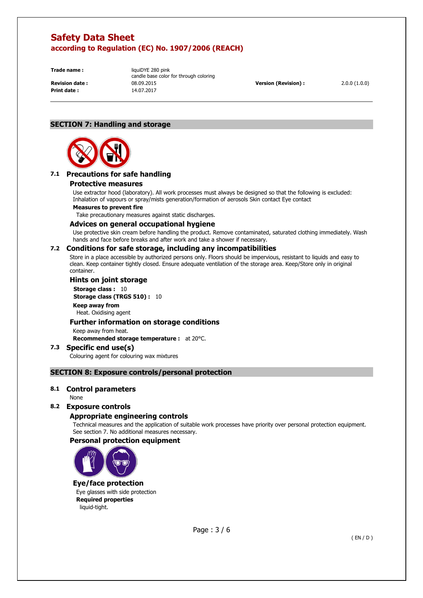**Print date :** 14.07.2017

**Trade name: liquiDYE 280 pink** candle base color for through coloring **Revision date :** 08.09.2015 **Version (Revision) :** 2.0.0 (1.0.0)

# **SECTION 7: Handling and storage**



# **7.1 Precautions for safe handling**

#### **Protective measures**

Use extractor hood (laboratory). All work processes must always be designed so that the following is excluded: Inhalation of vapours or spray/mists generation/formation of aerosols Skin contact Eye contact

#### **Measures to prevent fire**

Take precautionary measures against static discharges.

#### **Advices on general occupational hygiene**

Use protective skin cream before handling the product. Remove contaminated, saturated clothing immediately. Wash hands and face before breaks and after work and take a shower if necessary.

# **7.2 Conditions for safe storage, including any incompatibilities**

Store in a place accessible by authorized persons only. Floors should be impervious, resistant to liquids and easy to clean. Keep container tightly closed. Ensure adequate ventilation of the storage area. Keep/Store only in original container.

#### **Hints on joint storage**

**Storage class : 10 Storage class (TRGS 510) :** 10 **Keep away from**  Heat. Oxidising agent

#### **Further information on storage conditions**

Keep away from heat.

**Recommended storage temperature :** at 20°C.

#### **7.3 Specific end use(s)**  Colouring agent for colouring wax mixtures

# **SECTION 8: Exposure controls/personal protection**

#### **8.1 Control parameters**

None

#### **8.2 Exposure controls**

#### **Appropriate engineering controls**

Technical measures and the application of suitable work processes have priority over personal protection equipment. See section 7. No additional measures necessary.

#### **Personal protection equipment**



#### **Eye/face protection**

Eye glasses with side protection **Required properties**  liquid-tight.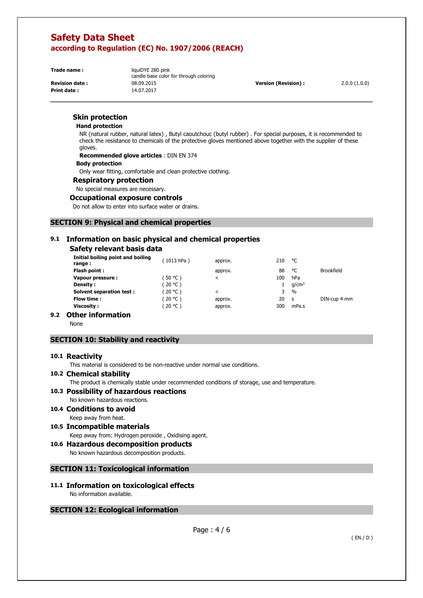**Print date :** 14.07.2017

**Trade name: liquiDYE 280 pink** candle base color for through coloring **Revision date :** 08.09.2015 **Version (Revision) :** 2.0.0 (1.0.0)

# **Skin protection**

#### **Hand protection**

NR (natural rubber, natural latex) , Butyl caoutchouc (butyl rubber) . For special purposes, it is recommended to check the resistance to chemicals of the protective gloves mentioned above together with the supplier of these gloves.

**Recommended glove articles** : DIN EN 374

#### **Body protection**

Only wear fitting, comfortable and clean protective clothing.

#### **Respiratory protection**

No special measures are necessary.

#### **Occupational exposure controls**

Do not allow to enter into surface water or drains.

## **SECTION 9: Physical and chemical properties**

# **9.1 Information on basic physical and chemical properties**

# **Safety relevant basis data**

| Initial boiling point and boiling<br>range: | (1013 hPa) | approx. | 210 | °C                |                   |
|---------------------------------------------|------------|---------|-----|-------------------|-------------------|
| Flash point:                                |            | approx. | 88  | ۰c                | <b>Brookfield</b> |
| Vapour pressure:                            | $50 °C$ )  | ≺       | 100 | hPa               |                   |
| <b>Density:</b>                             | (20 °C )   |         |     | q/cm <sup>3</sup> |                   |
| <b>Solvent separation test:</b>             | 20 °C )    | $\,<\,$ | 3   | $\frac{0}{0}$     |                   |
| Flow time :                                 | 20 °C )    | approx. | 20  | <b>S</b>          | DIN-cup 4 mm      |
| Viscosity :                                 | (20 °C )   | approx. | 300 | mPa.s             |                   |
| .<br>- -                                    |            |         |     |                   |                   |

# **9.2 Other information**

None

# **SECTION 10: Stability and reactivity**

#### **10.1 Reactivity**

This material is considered to be non-reactive under normal use conditions.

#### **10.2 Chemical stability**

The product is chemically stable under recommended conditions of storage, use and temperature.

# **10.3 Possibility of hazardous reactions**

No known hazardous reactions.

- **10.4 Conditions to avoid**  Keep away from heat.
- **10.5 Incompatible materials**  Keep away from: Hydrogen peroxide , Oxidising agent.

# **10.6 Hazardous decomposition products**

No known hazardous decomposition products.

#### **SECTION 11: Toxicological information**

#### **11.1 Information on toxicological effects**  No information available.

#### **SECTION 12: Ecological information**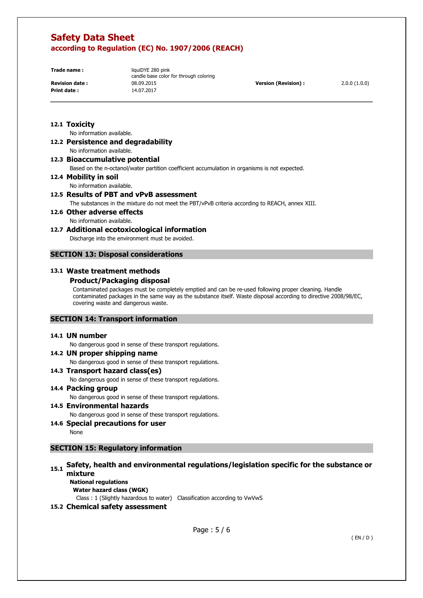**Print date :** 14.07.2017

**Trade name: liquiDYE 280 pink** candle base color for through coloring **Revision date :** 08.09.2015 **Version (Revision) :** 2.0.0 (1.0.0)

# **12.1 Toxicity**

No information available.

**12.2 Persistence and degradability**  No information available.

**12.3 Bioaccumulative potential** 

Based on the n-octanol/water partition coefficient accumulation in organisms is not expected.

**12.4 Mobility in soil** 

No information available.

# **12.5 Results of PBT and vPvB assessment**

The substances in the mixture do not meet the PBT/vPvB criteria according to REACH, annex XIII.

**12.6 Other adverse effects**  No information available.

# **12.7 Additional ecotoxicological information**

Discharge into the environment must be avoided.

# **SECTION 13: Disposal considerations**

# **13.1 Waste treatment methods**

# **Product/Packaging disposal**

Contaminated packages must be completely emptied and can be re-used following proper cleaning. Handle contaminated packages in the same way as the substance itself. Waste disposal according to directive 2008/98/EC, covering waste and dangerous waste.

#### **SECTION 14: Transport information**

#### **14.1 UN number**

No dangerous good in sense of these transport regulations.

# **14.2 UN proper shipping name**

No dangerous good in sense of these transport regulations.

## **14.3 Transport hazard class(es)**

No dangerous good in sense of these transport regulations.

## **14.4 Packing group**

No dangerous good in sense of these transport regulations.

- **14.5 Environmental hazards**  No dangerous good in sense of these transport regulations.
- **14.6 Special precautions for user**

None

# **SECTION 15: Regulatory information**

# **15.1 Safety, health and environmental regulations/legislation specific for the substance or mixture**

**National regulations Water hazard class (WGK)** 

Class : 1 (Slightly hazardous to water) Classification according to VwVwS

# **15.2 Chemical safety assessment**